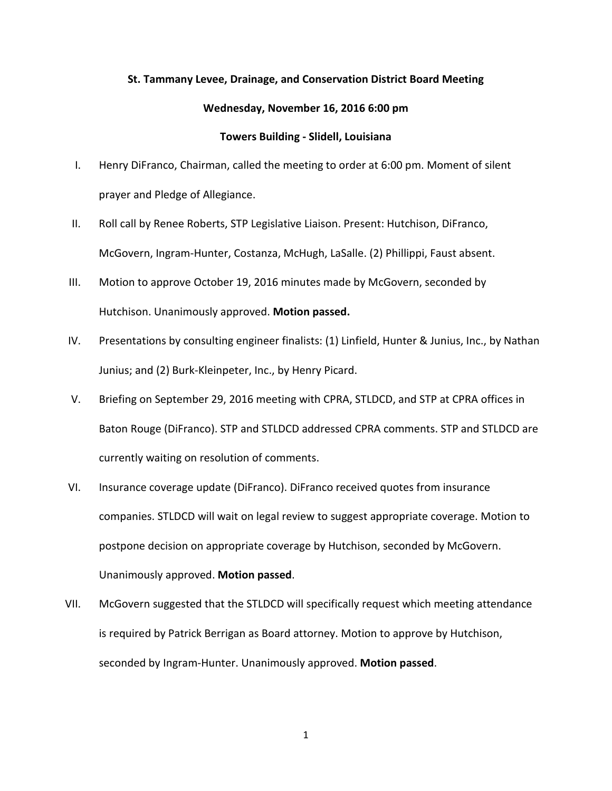## **St. Tammany Levee, Drainage, and Conservation District Board Meeting**

## **Wednesday, November 16, 2016 6:00 pm**

## **Towers Building - Slidell, Louisiana**

- I. Henry DiFranco, Chairman, called the meeting to order at 6:00 pm. Moment of silent prayer and Pledge of Allegiance.
- II. Roll call by Renee Roberts, STP Legislative Liaison. Present: Hutchison, DiFranco, McGovern, Ingram-Hunter, Costanza, McHugh, LaSalle. (2) Phillippi, Faust absent.
- III. Motion to approve October 19, 2016 minutes made by McGovern, seconded by Hutchison. Unanimously approved. **Motion passed.**
- IV. Presentations by consulting engineer finalists: (1) Linfield, Hunter & Junius, Inc., by Nathan Junius; and (2) Burk-Kleinpeter, Inc., by Henry Picard.
- V. Briefing on September 29, 2016 meeting with CPRA, STLDCD, and STP at CPRA offices in Baton Rouge (DiFranco). STP and STLDCD addressed CPRA comments. STP and STLDCD are currently waiting on resolution of comments.
- VI. Insurance coverage update (DiFranco). DiFranco received quotes from insurance companies. STLDCD will wait on legal review to suggest appropriate coverage. Motion to postpone decision on appropriate coverage by Hutchison, seconded by McGovern. Unanimously approved. **Motion passed**.
- VII. McGovern suggested that the STLDCD will specifically request which meeting attendance is required by Patrick Berrigan as Board attorney. Motion to approve by Hutchison, seconded by Ingram-Hunter. Unanimously approved. **Motion passed**.